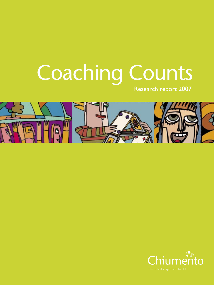# Coaching Counts

Research report 2007



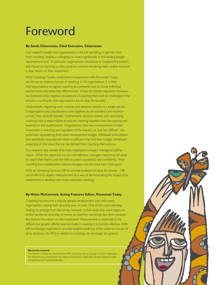# Foreword

#### **By Sarah Chiumento, Chief Executive, Chiumento**

Our research reveals that organisations in the UK are failing to get the most from coaching, despite a willingness to invest significantly in this leading people development tool. In particular, organisations' reluctance to measure the bottom line impact of coaching is a key cause for concern rendering them unable to prove a clear return on their investment.

With Coaching Counts, conducted in conjunction with Personnel Today, we set out to explore the use of coaching in UK organisations. It is clear that organisations recognise coaching as a powerful tool to boost individual performance and leadership effectiveness. A lack of industry regulation however, has fostered some negative perceptions of coaching that must be challenged if the industry is to flourish and organisations are to reap the benefits.

Undoubtedly, regulating such a diverse and dynamic industry is a tough call but if organisations and practitioners work together to set standards and monitor activity, they will both benefit. Furthermore, decision-makers who are buying coaching have a responsibility to ensure coaching suppliers have the appropriate experience and qualifications. Organisations that view measurement of their investment in coaching and regulation of the industry as "just too difficult", are potentially squandering their talent development budget. Individuals who believe that anecdotal measurement alone is sufficient may find their budget withdrawn, impacting on the value that can be derived from coaching interventions.

Our research also reveals that many organisations expect managerial staff to coach. While this approach can be cost-effective, managers need time set aside to coach their teams, and the skills to coach successfully and confidently. Poor coaching from inadequately trained managers can do more harm than good.

With an increasing focus on HR to provide evidence of value for money – HR can ill-afford to neglect measurement as a way of demonstrating the impact of its investments in development tools, especially coaching.

### **By Helen McCormick, Acting Features Editor, Personnel Today**

Coaching has become a popular people development tool, with many organisations upping their spending year on year. One of the more alarming findings to emerge from the survey however, is that while they seem happy to throw handsome amounts of money at coaching, worryingly few firms measure the bottom line return on this investment. Measurement is widely felt to be difficult, but greater efforts must be made if coaching is to be fully effective. With HR increasingly expected to provide tangible evidence of the value for money of all its decisions, the ROI in relation to coaching can no longer be ignored.

#### **About the research**

This research is based on responses from 497 companies with an average of 12,481 employees. The fieldwork was conducted in the week commencing 23 April 2007 by Reed Business Insight among Personnel Today's readership.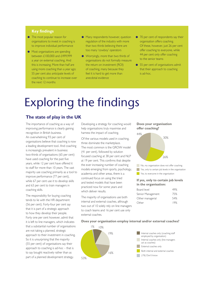### **Key findings**

- The most popular reason for organisations to invest in coaching is to improve individual performance
- Most organisations are spending between £100,000 and £499,999 a year on external coaching. And this is increasing. More than half are using more coaching than a year ago; 55 per cent also anticipate levels of coaching to continue to increase over the next 12 months
- Many respondents however, question regulation of the industry with more than two thirds believing there are too many 'cowboy' operators
- Worryingly, more than two thirds of organisations do not formally measure the return on investment (ROI) of coaching, many because they feel it is hard to get more than anecdotal evidence
- 70 per cent of respondents say their organisation offers coaching. Of these, however, just 26 per cent offer coaching to everyone, while 44 per cent only offer coaching to the senior teams
- 55 per cent of organisations admit that their approach to coaching is ad-hoc.

# Exploring the findings

# **The state of play in the UK**

The importance of coaching as a way of improving performance is clearly gaining recognition in British business. An overwhelming 93 per cent of organisations believe that coaching is now a leading development tool. And coaching is increasingly prevalent in business: two-thirds of organisations (65 per cent) have used coaching for the past five years, while 12 per cent have offered it to staff for more than 10 years. The vast majority use coaching primarily as a tool to improve performance (77 per cent), while 67 per cent use it to develop skills and 63 per cent to train managers in coaching skills.

The responsibility for buying coaching tends to lie with the HR department (56 per cent). Forty-four per cent say that it is part of a strategic approach to how they develop their people. Forty one per cent however, admit that it is left to line managers, which indicates that a substantial number of organisations are not taking a planned, strategic approach to their investment in coaching. So it is unsurprising that the majority (55 per cent) of organisations say their approach to coaching is ad-hoc – that is to say bought reactively rather than as part of a planned development strategy.

Developing a strategy for coaching would help organisations truly maximise and harness the impact of coaching.

Of the various models used in coaching, three dominate the marketplace. The most common is the GROW model (41 per cent), followed by solution focused coaching at 38 per cent and NLP at 19 per cent. This confirms that despite the ever increasing number of coaching models emerging from sports, psychology, academia and other areas, there is a continued focus on using the tried and tested models that have been practiced now for some years and which deliver results.

The majority of organisations use both internal and external coaches, although two out of 10 solely rely on line managers to coach teams and 16 per cent use only external coaches.

#### **Does your organisation offer coaching?**



No, my organisation does not offer coaching

- Yes, only to certain job levels in the organisation
- Yes, to everyone in the organisation

#### **If yes, only to certain job levels in the organisation:**

| Board level       | 49% |
|-------------------|-----|
| Senior Management | 75% |
| Other managerial  | 54% |
| Other             | 19% |
|                   |     |

**Does your organisation employ internal and/or external coaches?**

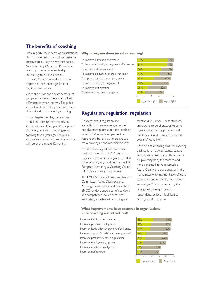# **The benefits of coaching**

Encouragingly, 96 per cent of organisations claim to have seen individual performance improve since coaching was introduced. Nearly as many (92 per cent) have also seen improvements to leadership and management effectiveness. Of these, 45 per cent and 39 per cent respectively have seen significant or major improvements.

When the public and private sectors are compared however, there is a marked difference between the two. The public sector trails behind the private sector on all benefits since introducing coaching.

This is despite spending more money overall on coaching than the private sector, and despite 60 per cent of public sector organisations now using more coaching than a year ago. The public sector also anticipates its use of coaching will rise over the next 12 months.

#### **Why do organisations invest in coaching?**

To improve individual performance To improve leadership/management effectiveness To aid personal development To improve productivity of the organisation To support individual career progression To improve employee engagement To improve staff retention To improve emotional intelligence



# **Regulation, regulation, regulation**

Concerns about regulation and accreditation have encouraged some negative perceptions about the coaching industry. Worryingly, 69 per cent of respondents believe that there are too many cowboys in the coaching industry.

An overwhelming 83 per cent believe the industry would benefit from more regulation so it is encouraging to see that some coaching organisations such as the European Mentoring & Coaching Council (EMCC) are making inroads here.

The EMCC's Chair of European Standards Committee, Marina Dieck explains, "Through collaboration and research the EMCC has developed a set of standards and competencies to work towards establishing excellence in coaching and

mentoring in Europe. These standards are proving to be of practical value to organisations, training providers and practitioners in identifying what 'good coaching' looks like".

With no one awarding body for coaching qualifications however, standards can, and do, vary considerably. There is also no governing body for coaches, and none is planned in the foreseeable future. Clearly, there are coaches in the marketplace who may not have sufficient experience and/or training, nor relevant knowledge. This is borne out by the finding that three-quarters of respondents believe it is difficult to find high-quality coaches.

#### **What improvements have occurred in organisations since coaching was introduced?**

Improved individual performance Improved personal development Improved leadership/management effectiveness Improved support for individual career progression Improved productivity of the organisation Improved employee engagement Improved emotional intelligence Improved staff retention

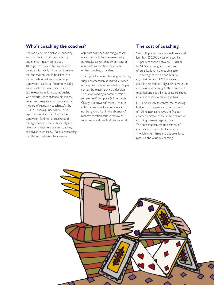# **Who's coaching the coaches?**

The most common factor for choosing an individual coach is their coaching experience – nearly eight out of 10 respondents claim to take this into consideration. Only 17 per cent believe that supervision should be taken into account when making a decision, yet supervision is a crucial factor in ensuring good practice in coaching and to act as a release valve for coaches dealing with difficult yet confidential situations. Supervision may also become a central method of regulating coaching. As the CIPD's Coaching Supervision (2006) report states, if you fail "to provide supervision for internal coaches and manager coaches, the sustainability and return on investment of your coaching initiative is in jeopardy." So it is concerning that this is overlooked by so many

organisations when choosing a coach – and this could be one reason why our results suggest that 69 per cent of organisations question the quality of their coaching providers.

The top factor when choosing a coaching supplier rather than an individual coach is the quality of coaches, cited by 71 per cent as the reason behind a decision. This is followed by recommendation (49 per cent) and price (48 per cent). Clearly, the power of word of mouth in the decision-making process should not be ignored, but in the absence of recommendation serious review of supervision and qualifications is a must.

# **The cost of coaching**

While 41 per cent of organisations spend less than £50,000 a year on coaching, 44 per cent spend between £100,000 to £499,999, rising to 51 per cent of organisations in the public sector. The average spend on coaching by organisations is £83,250. It is clear that coaching represents a significant amount of an organisation's budget. The majority of organisations' coaching budgets are spent on one-on-one executive coaching.

HR is most likely to control the coaching budget in an organisation, but two out of 10 line managers have the final say another indicator of the ad hoc nature of coaching in many organisations. The consequence can be a variety of coaches and inconsistent standards – which in turn limits the opportunity to measure the value of coaching.

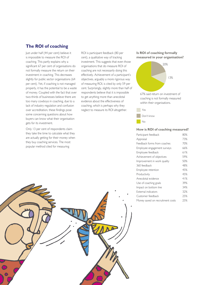# **The ROI of coaching**

Just under half (44 per cent) believe it is impossible to measure the ROI of coaching. This partly explains why a significant 67 per cent of organisations do not formally measure the return on their investment in coaching. This decreases slightly for public sector organisations (64 per cent). Yet, if coaching is not managed properly, it has the potential to be a waste of money. Coupled with the fact that over two-thirds of businesses believe there are too many cowboys in coaching, due to a lack of industry regulation and confusion over accreditation, these findings pose some concerning questions about how buyers can know what their organisation gets for its investment.

Only 13 per cent of respondents claim they take the time to calculate what they are actually getting for their money when they buy coaching services. The most popular method cited for measuring

ROI is participant feedback (80 per cent), a qualitative way of tracking investment. This suggests that even those organisations that do measure ROI of coaching are not necessarily doing this effectively. Achievement of a participant's objectives, arguably a more rigorous way of measuring ROI, is cited by only 59 per cent. Surprisingly, slightly more than half of respondents believe that it is impossible to get anything more than anecdotal evidence about the effectiveness of coaching, which is perhaps why they neglect to measure its ROI altogether.

#### **Is ROI of coaching formally measured in your organisation?**



coaching is not formally measured within their organisations.

Yes Don't know

No

#### **How is ROI of coaching measured?**

| Participant feedback             | 80% |
|----------------------------------|-----|
| Appraisal                        | 73% |
| Feedback forms from coaches      | 70% |
| Employee engagement surveys      | 66% |
| Employee feedback                | 61% |
| Achievement of objectives        | 59% |
| Improvement in work quality      | 50% |
| 360 feedback                     | 48% |
| Employee retention               | 45% |
| Productivity                     | 45% |
| Anecdotal evidence               | 41% |
| Use of coaching goals            | 39% |
| Impact on bottom line            | 34% |
| External indicators              | 32% |
| Customer feedback                | 25% |
| Money saved on recruitment costs | 25% |

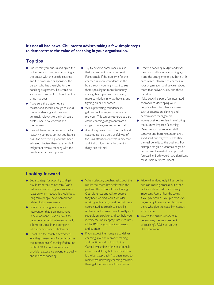# **It's not all bad news. Chiumento advises taking a few simple steps to demonstrate the value of coaching in your organisation.**

# **Top tips**

- Ensure that you discuss and agree the outcomes you want from coaching at the outset with the coach, coachee and their manager or sponsor - the person who has oversight for the coaching assignment. This could be someone from the HR department or a line manager
- Make sure the outcomes are realistic and specific enough to avoid misunderstanding and they are genuinely relevant to the individual's professional development and the business
- Record these outcomes as part of a 'coaching contract' so that you have a basis for determining what has been achieved. Review them at an end of assignment review meeting with the coach, coachee and sponsor
- **•** Try to develop some measures so that you know it when you see it! For example if the outcome for the coachee is 'more confidence in the board room' you might want to see them speaking up more frequently, voicing their opinions more often, more conviction in what they say and fighting his or her corner
- $\bullet$  While protecting confidentiality get feedback at regular intervals on progress. This can be gathered as part of the coaching assignment from a range of colleagues and other staff
- A mid way review with the coach and coachee can be a very useful way of focusing attention on what is different and it also allows for adjustment if things are off track
- **Create a coaching budget and track** the costs and hours of coaching against it and the arrangements you have with each coach. Manage the coaches in your organisation and be clear about those that deliver quality and those that don't
- Make coaching part of an integrated approach to developing your people – link it to other initiatives such as succession planning and performance management
- Involve business leaders in evaluating the business impact of coaching. Measures such as reduced staff turnover and better retention are a good start but may well understate the real benefits to the business. For example tangible outcomes might be better time to market or improved forecasting. Both would have significant measurable business impact.

# **Looking forward**

- Set a strategy for coaching and get buy-in from the senior team. Don't just invest in coaching as a knee-jerk reaction when needed. It should be a long-term people development tool related to business needs
- Position coaching as a positive intervention that is an investment in development. Don't allow it to become a remedial intervention only offered to those in the company whose performance is below par
- Establish if the coach is accredited. Are they a member of a body such as the International Coaching Federation or the EMCC? Such memberships provide reassurance around the quality and ethics of coaching
- When selecting coaches, ask about the results the coach has achieved in the past and the extent of their training. Get references and talk to people they have worked with. Consider working with an organisation that has a coordinated approach to coaching, is clear about its measure of quality and supervision provision and can help you identify the most appropriate measures of the ROI for your particular needs and business
- **If you expect line managers to deliver** coaching, give them proper training and the time and skills to do this. Careful evaluation of the cost/benefit of internal delivery helps identify if this is the best approach. Managers need to realise that delivering coaching can help them get the best out of their teams
- **•** Price will undoubtedly influence the decision-making process, but other factors such as quality are equally important. Remember the saying – if you pay peanuts, you get monkeys. Regrettably there are cowboys out there who give the coaching industry a bad name
- **Involve the business leaders in** determining the measurement of coaching's ROI, not just the HR department.